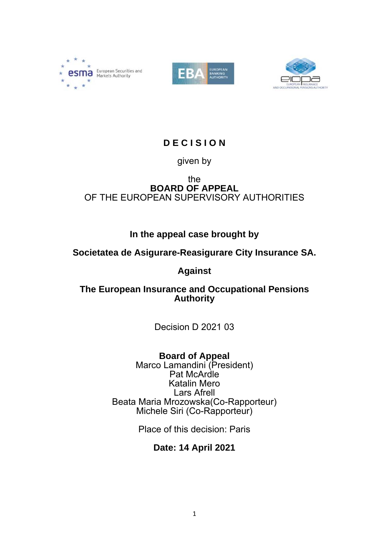





# **D E C I S I O N**

# given by

## the **BOARD OF APPEAL** OF THE EUROPEAN SUPERVISORY AUTHORITIES

# **In the appeal case brought by**

# **Societatea de Asigurare-Reasigurare City Insurance SA.**

# **Against**

## **The European Insurance and Occupational Pensions Authority**

Decision D 2021 03

**Board of Appeal**

Marco Lamandini (President) Pat McArdle Katalin Mero Lars Afrell Beata Maria Mrozowska(Co-Rapporteur) Michele Siri (Co-Rapporteur)

Place of this decision: Paris

# **Date: 14 April 2021**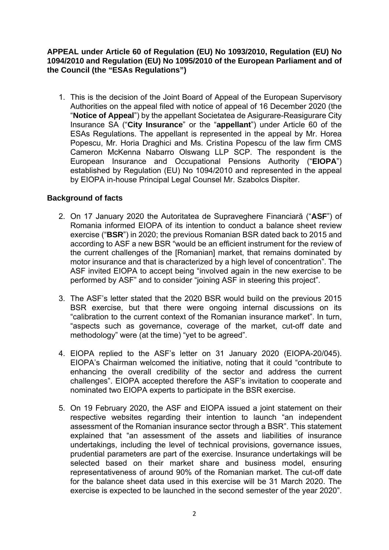### **APPEAL under Article 60 of Regulation (EU) No 1093/2010, Regulation (EU) No 1094/2010 and Regulation (EU) No 1095/2010 of the European Parliament and of the Council (the "ESAs Regulations")**

1. This is the decision of the Joint Board of Appeal of the European Supervisory Authorities on the appeal filed with notice of appeal of 16 December 2020 (the "**Notice of Appeal**") by the appellant Societatea de Asigurare-Reasigurare City Insurance SA ("**City Insurance**" or the "**appellant**") under Article 60 of the ESAs Regulations. The appellant is represented in the appeal by Mr. Horea Popescu, Mr. Horia Draghici and Ms. Cristina Popescu of the law firm CMS Cameron McKenna Nabarro Olswang LLP SCP. The respondent is the European Insurance and Occupational Pensions Authority ("**EIOPA**") established by Regulation (EU) No 1094/2010 and represented in the appeal by EIOPA in-house Principal Legal Counsel Mr. Szabolcs Dispiter.

### **Background of facts**

- 2. On 17 January 2020 the Autoritatea de Supraveghere Financiară ("**ASF**") of Romania informed EIOPA of its intention to conduct a balance sheet review exercise ("**BSR**") in 2020; the previous Romanian BSR dated back to 2015 and according to ASF a new BSR "would be an efficient instrument for the review of the current challenges of the [Romanian] market, that remains dominated by motor insurance and that is characterized by a high level of concentration". The ASF invited EIOPA to accept being "involved again in the new exercise to be performed by ASF" and to consider "joining ASF in steering this project".
- 3. The ASF's letter stated that the 2020 BSR would build on the previous 2015 BSR exercise, but that there were ongoing internal discussions on its "calibration to the current context of the Romanian insurance market". In turn, "aspects such as governance, coverage of the market, cut-off date and methodology" were (at the time) "yet to be agreed".
- 4. EIOPA replied to the ASF's letter on 31 January 2020 (EIOPA-20/045). EIOPA's Chairman welcomed the initiative, noting that it could "contribute to enhancing the overall credibility of the sector and address the current challenges". EIOPA accepted therefore the ASF's invitation to cooperate and nominated two EIOPA experts to participate in the BSR exercise.
- 5. On 19 February 2020, the ASF and EIOPA issued a joint statement on their respective websites regarding their intention to launch "an independent assessment of the Romanian insurance sector through a BSR". This statement explained that "an assessment of the assets and liabilities of insurance undertakings, including the level of technical provisions, governance issues, prudential parameters are part of the exercise. Insurance undertakings will be selected based on their market share and business model, ensuring representativeness of around 90% of the Romanian market. The cut-off date for the balance sheet data used in this exercise will be 31 March 2020. The exercise is expected to be launched in the second semester of the year 2020".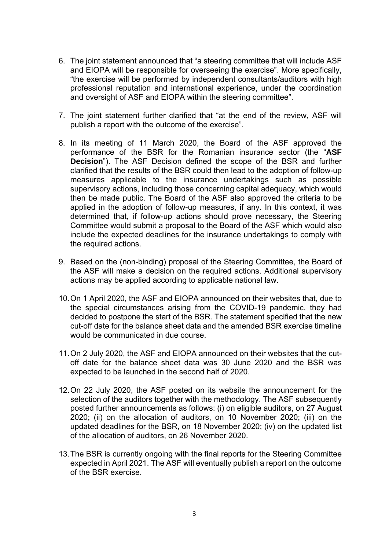- 6. The joint statement announced that "a steering committee that will include ASF and EIOPA will be responsible for overseeing the exercise". More specifically, "the exercise will be performed by independent consultants/auditors with high professional reputation and international experience, under the coordination and oversight of ASF and EIOPA within the steering committee".
- 7. The joint statement further clarified that "at the end of the review, ASF will publish a report with the outcome of the exercise".
- 8. In its meeting of 11 March 2020, the Board of the ASF approved the performance of the BSR for the Romanian insurance sector (the "**ASF Decision**"). The ASF Decision defined the scope of the BSR and further clarified that the results of the BSR could then lead to the adoption of follow-up measures applicable to the insurance undertakings such as possible supervisory actions, including those concerning capital adequacy, which would then be made public. The Board of the ASF also approved the criteria to be applied in the adoption of follow-up measures, if any. In this context, it was determined that, if follow-up actions should prove necessary, the Steering Committee would submit a proposal to the Board of the ASF which would also include the expected deadlines for the insurance undertakings to comply with the required actions.
- 9. Based on the (non-binding) proposal of the Steering Committee, the Board of the ASF will make a decision on the required actions. Additional supervisory actions may be applied according to applicable national law.
- 10. On 1 April 2020, the ASF and EIOPA announced on their websites that, due to the special circumstances arising from the COVID-19 pandemic, they had decided to postpone the start of the BSR. The statement specified that the new cut-off date for the balance sheet data and the amended BSR exercise timeline would be communicated in due course.
- 11. On 2 July 2020, the ASF and EIOPA announced on their websites that the cutoff date for the balance sheet data was 30 June 2020 and the BSR was expected to be launched in the second half of 2020.
- 12. On 22 July 2020, the ASF posted on its website the announcement for the selection of the auditors together with the methodology. The ASF subsequently posted further announcements as follows: (i) on eligible auditors, on 27 August 2020; (ii) on the allocation of auditors, on 10 November 2020; (iii) on the updated deadlines for the BSR, on 18 November 2020; (iv) on the updated list of the allocation of auditors, on 26 November 2020.
- 13. The BSR is currently ongoing with the final reports for the Steering Committee expected in April 2021. The ASF will eventually publish a report on the outcome of the BSR exercise.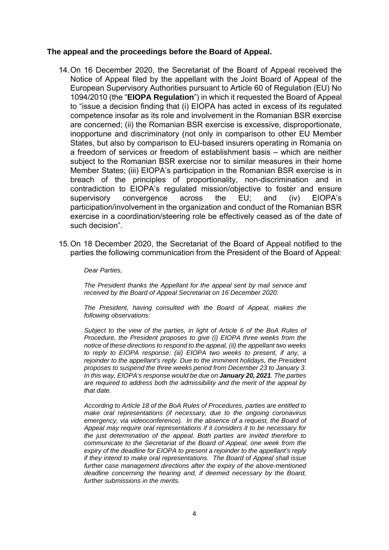### **The appeal and the proceedings before the Board of Appeal.**

- 14. On 16 December 2020, the Secretariat of the Board of Appeal received the Notice of Appeal filed by the appellant with the Joint Board of Appeal of the European Supervisory Authorities pursuant to Article 60 of Regulation (EU) No 1094/2010 (the "**EIOPA Regulation**") in which it requested the Board of Appeal to "issue a decision finding that (i) EIOPA has acted in excess of its regulated competence insofar as its role and involvement in the Romanian BSR exercise are concerned; (ii) the Romanian BSR exercise is excessive, disproportionate, inopportune and discriminatory (not only in comparison to other EU Member States, but also by comparison to EU-based insurers operating in Romania on a freedom of services or freedom of establishment basis – which are neither subject to the Romanian BSR exercise nor to similar measures in their home Member States; (iii) EIOPA's participation in the Romanian BSR exercise is in breach of the principles of proportionality, non-discrimination and in contradiction to EIOPA's regulated mission/objective to foster and ensure supervisory convergence across the EU; and (iv) EIOPA's participation/involvement in the organization and conduct of the Romanian BSR exercise in a coordination/steering role be effectively ceased as of the date of such decision".
- 15. On 18 December 2020, the Secretariat of the Board of Appeal notified to the parties the following communication from the President of the Board of Appeal:

*Dear Parties,* 

*The President thanks the Appellant for the appeal sent by mail service and received by the Board of Appeal Secretariat on 16 December 2020.* 

*The President, having consulted with the Board of Appeal, makes the following observations:* 

*Subject to the view of the parties, in light of Article 6 of the BoA Rules of Procedure, the President proposes to give (i) EIOPA three weeks from the notice of these directions to respond to the appeal, (ii) the appellant two weeks to reply to EIOPA response; (iii) EIOPA two weeks to present, if any, a rejoinder to the appellant's reply. Due to the imminent holidays, the President proposes to suspend the three weeks period from December 23 to January 3. In this way, EIOPA's response would be due on January 20, 2021. The parties are required to address both the admissibility and the merit of the appeal by that date.* 

*According to Article 18 of the BoA Rules of Procedures, parties are entitled to make oral representations (if necessary, due to the ongoing coronavirus emergency, via videoconference). In the absence of a request, the Board of Appeal may require oral representations if it considers it to be necessary for the just determination of the appeal. Both parties are invited therefore to communicate to the Secretariat of the Board of Appeal, one week from the expiry of the deadline for EIOPA to present a rejoinder to the appellant's reply if they intend to make oral representations. The Board of Appeal shall issue further case management directions after the expiry of the above-mentioned deadline concerning the hearing and, if deemed necessary by the Board, further submissions in the merits.*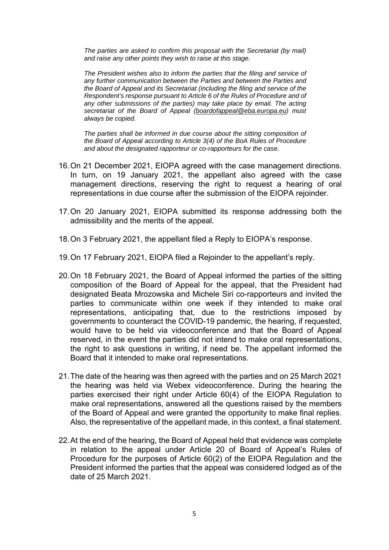*The parties are asked to confirm this proposal with the Secretariat (by mail) and raise any other points they wish to raise at this stage.* 

*The President wishes also to inform the parties that the filing and service of any further communication between the Parties and between the Parties and the Board of Appeal and its Secretariat (including the filing and service of the Respondent's response pursuant to Article 6 of the Rules of Procedure and of any other submissions of the parties) may take place by email. The acting secretariat of the Board of Appeal (boardofappeal@eba.europa.eu) must always be copied.* 

*The parties shall be informed in due course about the sitting composition of the Board of Appeal according to Article 3(4) of the BoA Rules of Procedure and about the designated rapporteur or co-rapporteurs for the case.*

- 16. On 21 December 2021, EIOPA agreed with the case management directions. In turn, on 19 January 2021, the appellant also agreed with the case management directions, reserving the right to request a hearing of oral representations in due course after the submission of the EIOPA rejoinder.
- 17. On 20 January 2021, EIOPA submitted its response addressing both the admissibility and the merits of the appeal.
- 18. On 3 February 2021, the appellant filed a Reply to EIOPA's response.
- 19. On 17 February 2021, EIOPA filed a Rejoinder to the appellant's reply.
- 20. On 18 February 2021, the Board of Appeal informed the parties of the sitting composition of the Board of Appeal for the appeal, that the President had designated Beata Mrozowska and Michele Siri co-rapporteurs and invited the parties to communicate within one week if they intended to make oral representations, anticipating that, due to the restrictions imposed by governments to counteract the COVID-19 pandemic, the hearing, if requested, would have to be held via videoconference and that the Board of Appeal reserved, in the event the parties did not intend to make oral representations, the right to ask questions in writing, if need be. The appellant informed the Board that it intended to make oral representations.
- 21. The date of the hearing was then agreed with the parties and on 25 March 2021 the hearing was held via Webex videoconference. During the hearing the parties exercised their right under Article 60(4) of the EIOPA Regulation to make oral representations, answered all the questions raised by the members of the Board of Appeal and were granted the opportunity to make final replies. Also, the representative of the appellant made, in this context, a final statement.
- 22. At the end of the hearing, the Board of Appeal held that evidence was complete in relation to the appeal under Article 20 of Board of Appeal's Rules of Procedure for the purposes of Article 60(2) of the EIOPA Regulation and the President informed the parties that the appeal was considered lodged as of the date of 25 March 2021.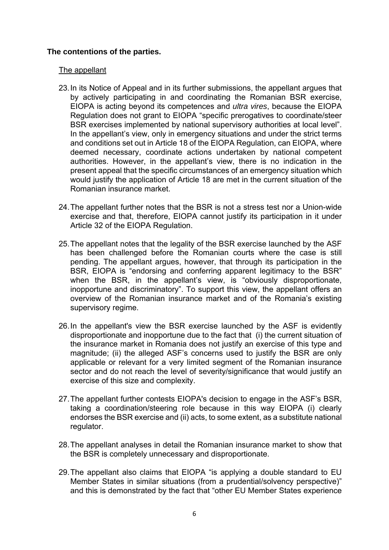### **The contentions of the parties.**

#### The appellant

- 23. In its Notice of Appeal and in its further submissions, the appellant argues that by actively participating in and coordinating the Romanian BSR exercise, EIOPA is acting beyond its competences and *ultra vires*, because the EIOPA Regulation does not grant to EIOPA "specific prerogatives to coordinate/steer BSR exercises implemented by national supervisory authorities at local level". In the appellant's view, only in emergency situations and under the strict terms and conditions set out in Article 18 of the EIOPA Regulation, can EIOPA, where deemed necessary, coordinate actions undertaken by national competent authorities. However, in the appellant's view, there is no indication in the present appeal that the specific circumstances of an emergency situation which would justify the application of Article 18 are met in the current situation of the Romanian insurance market.
- 24. The appellant further notes that the BSR is not a stress test nor a Union-wide exercise and that, therefore, EIOPA cannot justify its participation in it under Article 32 of the EIOPA Regulation.
- 25. The appellant notes that the legality of the BSR exercise launched by the ASF has been challenged before the Romanian courts where the case is still pending. The appellant argues, however, that through its participation in the BSR, EIOPA is "endorsing and conferring apparent legitimacy to the BSR" when the BSR, in the appellant's view, is "obviously disproportionate, inopportune and discriminatory". To support this view, the appellant offers an overview of the Romanian insurance market and of the Romania's existing supervisory regime.
- 26. In the appellant's view the BSR exercise launched by the ASF is evidently disproportionate and inopportune due to the fact that (i) the current situation of the insurance market in Romania does not justify an exercise of this type and magnitude; (ii) the alleged ASF's concerns used to justify the BSR are only applicable or relevant for a very limited segment of the Romanian insurance sector and do not reach the level of severity/significance that would justify an exercise of this size and complexity.
- 27. The appellant further contests EIOPA's decision to engage in the ASF's BSR, taking a coordination/steering role because in this way EIOPA (i) clearly endorses the BSR exercise and (ii) acts, to some extent, as a substitute national regulator.
- 28. The appellant analyses in detail the Romanian insurance market to show that the BSR is completely unnecessary and disproportionate.
- 29. The appellant also claims that EIOPA "is applying a double standard to EU Member States in similar situations (from a prudential/solvency perspective)" and this is demonstrated by the fact that "other EU Member States experience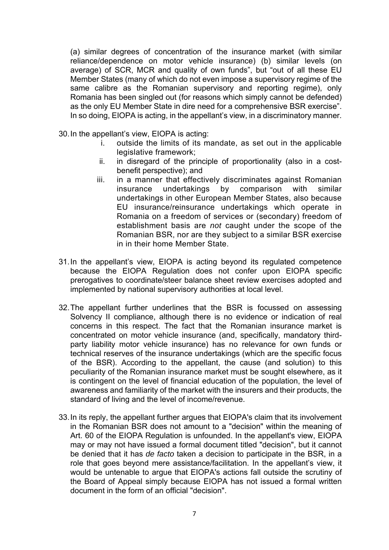(a) similar degrees of concentration of the insurance market (with similar reliance/dependence on motor vehicle insurance) (b) similar levels (on average) of SCR, MCR and quality of own funds", but "out of all these EU Member States (many of which do not even impose a supervisory regime of the same calibre as the Romanian supervisory and reporting regime), only Romania has been singled out (for reasons which simply cannot be defended) as the only EU Member State in dire need for a comprehensive BSR exercise". In so doing, EIOPA is acting, in the appellant's view, in a discriminatory manner.

30. In the appellant's view, EIOPA is acting:

- i. outside the limits of its mandate, as set out in the applicable legislative framework;
- ii. in disregard of the principle of proportionality (also in a costbenefit perspective); and
- iii. in a manner that effectively discriminates against Romanian insurance undertakings by comparison with similar undertakings in other European Member States, also because EU insurance/reinsurance undertakings which operate in Romania on a freedom of services or (secondary) freedom of establishment basis are *not* caught under the scope of the Romanian BSR, nor are they subject to a similar BSR exercise in in their home Member State.
- 31. In the appellant's view, EIOPA is acting beyond its regulated competence because the EIOPA Regulation does not confer upon EIOPA specific prerogatives to coordinate/steer balance sheet review exercises adopted and implemented by national supervisory authorities at local level.
- 32. The appellant further underlines that the BSR is focussed on assessing Solvency II compliance, although there is no evidence or indication of real concerns in this respect. The fact that the Romanian insurance market is concentrated on motor vehicle insurance (and, specifically, mandatory thirdparty liability motor vehicle insurance) has no relevance for own funds or technical reserves of the insurance undertakings (which are the specific focus of the BSR). According to the appellant, the cause (and solution) to this peculiarity of the Romanian insurance market must be sought elsewhere, as it is contingent on the level of financial education of the population, the level of awareness and familiarity of the market with the insurers and their products, the standard of living and the level of income/revenue.
- 33. In its reply, the appellant further argues that EIOPA's claim that its involvement in the Romanian BSR does not amount to a "decision" within the meaning of Art. 60 of the EIOPA Regulation is unfounded. In the appellant's view, EIOPA may or may not have issued a formal document titled "decision", but it cannot be denied that it has *de facto* taken a decision to participate in the BSR, in a role that goes beyond mere assistance/facilitation. In the appellant's view, it would be untenable to argue that EIOPA's actions fall outside the scrutiny of the Board of Appeal simply because EIOPA has not issued a formal written document in the form of an official "decision".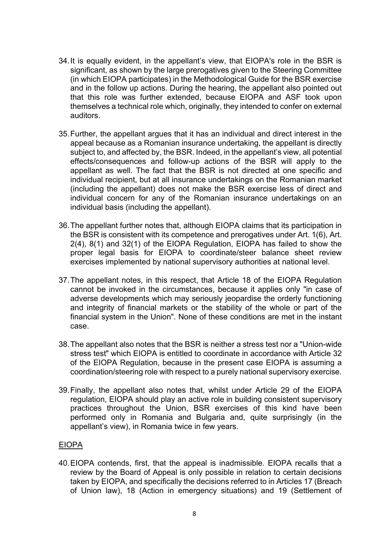- 34. It is equally evident, in the appellant's view, that EIOPA's role in the BSR is significant, as shown by the large prerogatives given to the Steering Committee (in which EIOPA participates) in the Methodological Guide for the BSR exercise and in the follow up actions. During the hearing, the appellant also pointed out that this role was further extended, because EIOPA and ASF took upon themselves a technical role which, originally, they intended to confer on external auditors.
- 35. Further, the appellant argues that it has an individual and direct interest in the appeal because as a Romanian insurance undertaking, the appellant is directly subject to, and affected by, the BSR. Indeed, in the appellant's view, all potential effects/consequences and follow-up actions of the BSR will apply to the appellant as well. The fact that the BSR is not directed at one specific and individual recipient, but at all insurance undertakings on the Romanian market (including the appellant) does not make the BSR exercise less of direct and individual concern for any of the Romanian insurance undertakings on an individual basis (including the appellant).
- 36. The appellant further notes that, although EIOPA claims that its participation in the BSR is consistent with its competence and prerogatives under Art. 1(6), Art. 2(4), 8(1) and 32(1) of the EIOPA Regulation, EIOPA has failed to show the proper legal basis for EIOPA to coordinate/steer balance sheet review exercises implemented by national supervisory authorities at national level.
- 37. The appellant notes, in this respect, that Article 18 of the EIOPA Regulation cannot be invoked in the circumstances, because it applies only "in case of adverse developments which may seriously jeopardise the orderly functioning and integrity of financial markets or the stability of the whole or part of the financial system in the Union". None of these conditions are met in the instant case.
- 38. The appellant also notes that the BSR is neither a stress test nor a "Union-wide stress test" which EIOPA is entitled to coordinate in accordance with Article 32 of the EIOPA Regulation, because in the present case EIOPA is assuming a coordination/steering role with respect to a purely national supervisory exercise.
- 39. Finally, the appellant also notes that, whilst under Article 29 of the EIOPA regulation, EIOPA should play an active role in building consistent supervisory practices throughout the Union, BSR exercises of this kind have been performed only in Romania and Bulgaria and, quite surprisingly (in the appellant's view), in Romania twice in few years.

### EIOPA

40. EIOPA contends, first, that the appeal is inadmissible. EIOPA recalls that a review by the Board of Appeal is only possible in relation to certain decisions taken by EIOPA, and specifically the decisions referred to in Articles 17 (Breach of Union law), 18 (Action in emergency situations) and 19 (Settlement of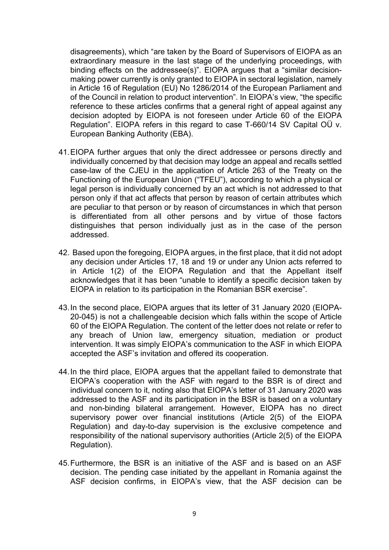disagreements), which "are taken by the Board of Supervisors of EIOPA as an extraordinary measure in the last stage of the underlying proceedings, with binding effects on the addressee(s)". EIOPA argues that a "similar decisionmaking power currently is only granted to EIOPA in sectoral legislation, namely in Article 16 of Regulation (EU) No 1286/2014 of the European Parliament and of the Council in relation to product intervention". In EIOPA's view, "the specific reference to these articles confirms that a general right of appeal against any decision adopted by EIOPA is not foreseen under Article 60 of the EIOPA Regulation". EIOPA refers in this regard to case T-660/14 SV Capital OÜ v. European Banking Authority (EBA).

- 41. EIOPA further argues that only the direct addressee or persons directly and individually concerned by that decision may lodge an appeal and recalls settled case-law of the CJEU in the application of Article 263 of the Treaty on the Functioning of the European Union ("TFEU"), according to which a physical or legal person is individually concerned by an act which is not addressed to that person only if that act affects that person by reason of certain attributes which are peculiar to that person or by reason of circumstances in which that person is differentiated from all other persons and by virtue of those factors distinguishes that person individually just as in the case of the person addressed.
- 42. Based upon the foregoing, EIOPA argues, in the first place, that it did not adopt any decision under Articles 17, 18 and 19 or under any Union acts referred to in Article 1(2) of the EIOPA Regulation and that the Appellant itself acknowledges that it has been "unable to identify a specific decision taken by EIOPA in relation to its participation in the Romanian BSR exercise".
- 43. In the second place, EIOPA argues that its letter of 31 January 2020 (EIOPA-20-045) is not a challengeable decision which falls within the scope of Article 60 of the EIOPA Regulation. The content of the letter does not relate or refer to any breach of Union law, emergency situation, mediation or product intervention. It was simply EIOPA's communication to the ASF in which EIOPA accepted the ASF's invitation and offered its cooperation.
- 44. In the third place, EIOPA argues that the appellant failed to demonstrate that EIOPA's cooperation with the ASF with regard to the BSR is of direct and individual concern to it, noting also that EIOPA's letter of 31 January 2020 was addressed to the ASF and its participation in the BSR is based on a voluntary and non-binding bilateral arrangement. However, EIOPA has no direct supervisory power over financial institutions (Article 2(5) of the EIOPA Regulation) and day-to-day supervision is the exclusive competence and responsibility of the national supervisory authorities (Article 2(5) of the EIOPA Regulation).
- 45. Furthermore, the BSR is an initiative of the ASF and is based on an ASF decision. The pending case initiated by the appellant in Romania against the ASF decision confirms, in EIOPA's view, that the ASF decision can be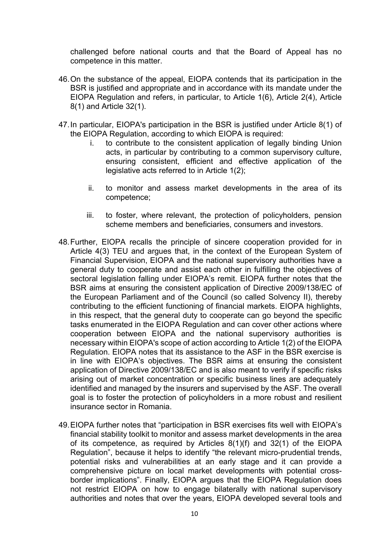challenged before national courts and that the Board of Appeal has no competence in this matter.

- 46. On the substance of the appeal, EIOPA contends that its participation in the BSR is justified and appropriate and in accordance with its mandate under the EIOPA Regulation and refers, in particular, to Article 1(6), Article 2(4), Article 8(1) and Article 32(1).
- 47. In particular, EIOPA's participation in the BSR is justified under Article 8(1) of the EIOPA Regulation, according to which EIOPA is required:
	- i. to contribute to the consistent application of legally binding Union acts, in particular by contributing to a common supervisory culture, ensuring consistent, efficient and effective application of the legislative acts referred to in Article 1(2);
	- ii. to monitor and assess market developments in the area of its competence;
	- iii. to foster, where relevant, the protection of policyholders, pension scheme members and beneficiaries, consumers and investors.
- 48. Further, EIOPA recalls the principle of sincere cooperation provided for in Article 4(3) TEU and argues that, in the context of the European System of Financial Supervision, EIOPA and the national supervisory authorities have a general duty to cooperate and assist each other in fulfilling the objectives of sectoral legislation falling under EIOPA's remit. EIOPA further notes that the BSR aims at ensuring the consistent application of Directive 2009/138/EC of the European Parliament and of the Council (so called Solvency II), thereby contributing to the efficient functioning of financial markets. EIOPA highlights, in this respect, that the general duty to cooperate can go beyond the specific tasks enumerated in the EIOPA Regulation and can cover other actions where cooperation between EIOPA and the national supervisory authorities is necessary within EIOPA's scope of action according to Article 1(2) of the EIOPA Regulation. EIOPA notes that its assistance to the ASF in the BSR exercise is in line with EIOPA's objectives. The BSR aims at ensuring the consistent application of Directive 2009/138/EC and is also meant to verify if specific risks arising out of market concentration or specific business lines are adequately identified and managed by the insurers and supervised by the ASF. The overall goal is to foster the protection of policyholders in a more robust and resilient insurance sector in Romania.
- 49. EIOPA further notes that "participation in BSR exercises fits well with EIOPA's financial stability toolkit to monitor and assess market developments in the area of its competence, as required by Articles 8(1)(f) and 32(1) of the EIOPA Regulation", because it helps to identify "the relevant micro-prudential trends, potential risks and vulnerabilities at an early stage and it can provide a comprehensive picture on local market developments with potential crossborder implications". Finally, EIOPA argues that the EIOPA Regulation does not restrict EIOPA on how to engage bilaterally with national supervisory authorities and notes that over the years, EIOPA developed several tools and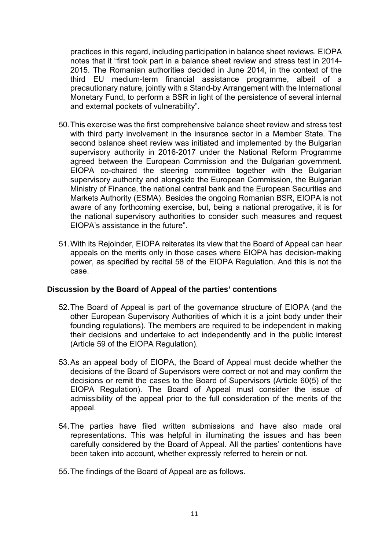practices in this regard, including participation in balance sheet reviews. EIOPA notes that it "first took part in a balance sheet review and stress test in 2014- 2015. The Romanian authorities decided in June 2014, in the context of the third EU medium-term financial assistance programme, albeit of a precautionary nature, jointly with a Stand-by Arrangement with the International Monetary Fund, to perform a BSR in light of the persistence of several internal and external pockets of vulnerability".

- 50. This exercise was the first comprehensive balance sheet review and stress test with third party involvement in the insurance sector in a Member State. The second balance sheet review was initiated and implemented by the Bulgarian supervisory authority in 2016-2017 under the National Reform Programme agreed between the European Commission and the Bulgarian government. EIOPA co-chaired the steering committee together with the Bulgarian supervisory authority and alongside the European Commission, the Bulgarian Ministry of Finance, the national central bank and the European Securities and Markets Authority (ESMA). Besides the ongoing Romanian BSR, EIOPA is not aware of any forthcoming exercise, but, being a national prerogative, it is for the national supervisory authorities to consider such measures and request EIOPA's assistance in the future".
- 51. With its Rejoinder, EIOPA reiterates its view that the Board of Appeal can hear appeals on the merits only in those cases where EIOPA has decision-making power, as specified by recital 58 of the EIOPA Regulation. And this is not the case.

### **Discussion by the Board of Appeal of the parties' contentions**

- 52. The Board of Appeal is part of the governance structure of EIOPA (and the other European Supervisory Authorities of which it is a joint body under their founding regulations). The members are required to be independent in making their decisions and undertake to act independently and in the public interest (Article 59 of the EIOPA Regulation).
- 53. As an appeal body of EIOPA, the Board of Appeal must decide whether the decisions of the Board of Supervisors were correct or not and may confirm the decisions or remit the cases to the Board of Supervisors (Article 60(5) of the EIOPA Regulation). The Board of Appeal must consider the issue of admissibility of the appeal prior to the full consideration of the merits of the appeal.
- 54. The parties have filed written submissions and have also made oral representations. This was helpful in illuminating the issues and has been carefully considered by the Board of Appeal. All the parties' contentions have been taken into account, whether expressly referred to herein or not.
- 55. The findings of the Board of Appeal are as follows.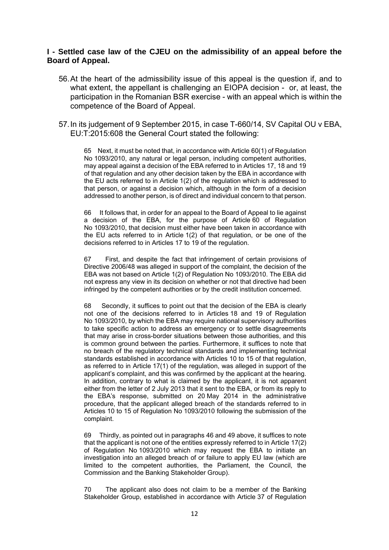#### **I - Settled case law of the CJEU on the admissibility of an appeal before the Board of Appeal.**

- 56. At the heart of the admissibility issue of this appeal is the question if, and to what extent, the appellant is challenging an EIOPA decision - or, at least, the participation in the Romanian BSR exercise - with an appeal which is within the competence of the Board of Appeal.
- 57. In its judgement of 9 September 2015, in case T-660/14, SV Capital OU v EBA, EU:T:2015:608 the General Court stated the following:

65 Next, it must be noted that, in accordance with Article 60(1) of Regulation No 1093/2010, any natural or legal person, including competent authorities, may appeal against a decision of the EBA referred to in Articles 17, 18 and 19 of that regulation and any other decision taken by the EBA in accordance with the EU acts referred to in Article 1(2) of the regulation which is addressed to that person, or against a decision which, although in the form of a decision addressed to another person, is of direct and individual concern to that person.

66 It follows that, in order for an appeal to the Board of Appeal to lie against a decision of the EBA, for the purpose of Article 60 of Regulation No 1093/2010, that decision must either have been taken in accordance with the EU acts referred to in Article 1(2) of that regulation, or be one of the decisions referred to in Articles 17 to 19 of the regulation.

67 First, and despite the fact that infringement of certain provisions of Directive 2006/48 was alleged in support of the complaint, the decision of the EBA was not based on Article 1(2) of Regulation No 1093/2010. The EBA did not express any view in its decision on whether or not that directive had been infringed by the competent authorities or by the credit institution concerned.

68 Secondly, it suffices to point out that the decision of the EBA is clearly not one of the decisions referred to in Articles 18 and 19 of Regulation No 1093/2010, by which the EBA may require national supervisory authorities to take specific action to address an emergency or to settle disagreements that may arise in cross-border situations between those authorities, and this is common ground between the parties. Furthermore, it suffices to note that no breach of the regulatory technical standards and implementing technical standards established in accordance with Articles 10 to 15 of that regulation, as referred to in Article 17(1) of the regulation, was alleged in support of the applicant's complaint, and this was confirmed by the applicant at the hearing. In addition, contrary to what is claimed by the applicant, it is not apparent either from the letter of 2 July 2013 that it sent to the EBA, or from its reply to the EBA's response, submitted on 20 May 2014 in the administrative procedure, that the applicant alleged breach of the standards referred to in Articles 10 to 15 of Regulation No 1093/2010 following the submission of the complaint.

69 Thirdly, as pointed out in paragraphs 46 and 49 above, it suffices to note that the applicant is not one of the entities expressly referred to in Article 17(2) of Regulation No 1093/2010 which may request the EBA to initiate an investigation into an alleged breach of or failure to apply EU law (which are limited to the competent authorities, the Parliament, the Council, the Commission and the Banking Stakeholder Group).

70 The applicant also does not claim to be a member of the Banking Stakeholder Group, established in accordance with Article 37 of Regulation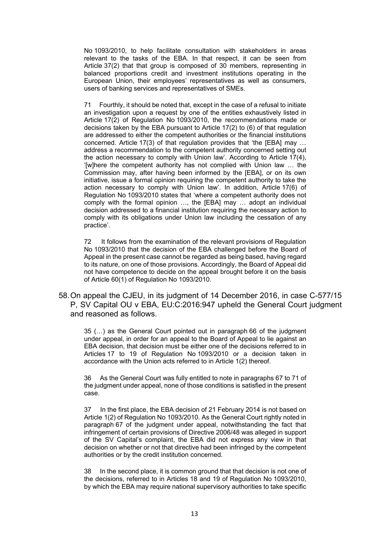No 1093/2010, to help facilitate consultation with stakeholders in areas relevant to the tasks of the EBA. In that respect, it can be seen from Article 37(2) that that group is composed of 30 members, representing in balanced proportions credit and investment institutions operating in the European Union, their employees' representatives as well as consumers, users of banking services and representatives of SMEs.

71 Fourthly, it should be noted that, except in the case of a refusal to initiate an investigation upon a request by one of the entities exhaustively listed in Article 17(2) of Regulation No 1093/2010, the recommendations made or decisions taken by the EBA pursuant to Article 17(2) to (6) of that regulation are addressed to either the competent authorities or the financial institutions concerned. Article 17(3) of that regulation provides that 'the [EBA] may … address a recommendation to the competent authority concerned setting out the action necessary to comply with Union law'. According to Article 17(4), '[w]here the competent authority has not complied with Union law … the Commission may, after having been informed by the [EBA], or on its own initiative, issue a formal opinion requiring the competent authority to take the action necessary to comply with Union law'. In addition, Article 17(6) of Regulation No 1093/2010 states that 'where a competent authority does not comply with the formal opinion …, the [EBA] may … adopt an individual decision addressed to a financial institution requiring the necessary action to comply with its obligations under Union law including the cessation of any practice'.

72 It follows from the examination of the relevant provisions of Regulation No 1093/2010 that the decision of the EBA challenged before the Board of Appeal in the present case cannot be regarded as being based, having regard to its nature, on one of those provisions. Accordingly, the Board of Appeal did not have competence to decide on the appeal brought before it on the basis of Article 60(1) of Regulation No 1093/2010.

58. On appeal the CJEU, in its judgment of 14 December 2016, in case C-577/15 P, SV Capital OU v EBA, EU:C:2016:947 upheld the General Court judgment and reasoned as follows.

35 (…) as the General Court pointed out in paragraph 66 of the judgment under appeal, in order for an appeal to the Board of Appeal to lie against an EBA decision, that decision must be either one of the decisions referred to in Articles 17 to 19 of Regulation No 1093/2010 or a decision taken in accordance with the Union acts referred to in Article 1(2) thereof.

36 As the General Court was fully entitled to note in paragraphs 67 to 71 of the judgment under appeal, none of those conditions is satisfied in the present case.

37 In the first place, the EBA decision of 21 February 2014 is not based on Article 1(2) of Regulation No 1093/2010. As the General Court rightly noted in paragraph 67 of the judgment under appeal, notwithstanding the fact that infringement of certain provisions of Directive 2006/48 was alleged in support of the SV Capital's complaint, the EBA did not express any view in that decision on whether or not that directive had been infringed by the competent authorities or by the credit institution concerned.

38 In the second place, it is common ground that that decision is not one of the decisions, referred to in Articles 18 and 19 of Regulation No 1093/2010, by which the EBA may require national supervisory authorities to take specific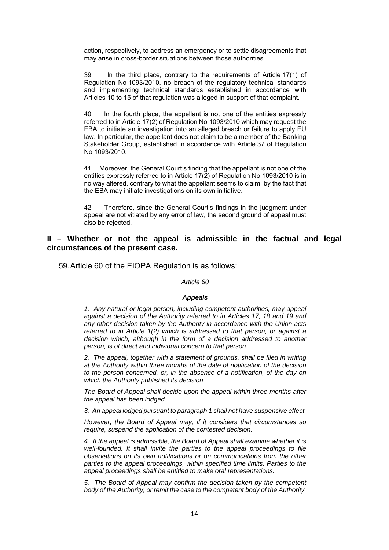action, respectively, to address an emergency or to settle disagreements that may arise in cross-border situations between those authorities.

39 In the third place, contrary to the requirements of Article 17(1) of Regulation No 1093/2010, no breach of the regulatory technical standards and implementing technical standards established in accordance with Articles 10 to 15 of that regulation was alleged in support of that complaint.

40 In the fourth place, the appellant is not one of the entities expressly referred to in Article 17(2) of Regulation No 1093/2010 which may request the EBA to initiate an investigation into an alleged breach or failure to apply EU law. In particular, the appellant does not claim to be a member of the Banking Stakeholder Group, established in accordance with Article 37 of Regulation No 1093/2010.

41 Moreover, the General Court's finding that the appellant is not one of the entities expressly referred to in Article 17(2) of Regulation No 1093/2010 is in no way altered, contrary to what the appellant seems to claim, by the fact that the EBA may initiate investigations on its own initiative.

42 Therefore, since the General Court's findings in the judgment under appeal are not vitiated by any error of law, the second ground of appeal must also be rejected.

#### **II – Whether or not the appeal is admissible in the factual and legal circumstances of the present case.**

59. Article 60 of the EIOPA Regulation is as follows:

#### *Article 60*

#### *Appeals*

*1. Any natural or legal person, including competent authorities, may appeal*  against a decision of the Authority referred to in Articles 17, 18 and 19 and *any other decision taken by the Authority in accordance with the Union acts referred to in Article 1(2) which is addressed to that person, or against a decision which, although in the form of a decision addressed to another person, is of direct and individual concern to that person.* 

*2. The appeal, together with a statement of grounds, shall be filed in writing at the Authority within three months of the date of notification of the decision to the person concerned, or, in the absence of a notification, of the day on which the Authority published its decision.* 

*The Board of Appeal shall decide upon the appeal within three months after the appeal has been lodged.* 

*3. An appeal lodged pursuant to paragraph 1 shall not have suspensive effect.* 

*However, the Board of Appeal may, if it considers that circumstances so require, suspend the application of the contested decision.* 

*4. If the appeal is admissible, the Board of Appeal shall examine whether it is well-founded. It shall invite the parties to the appeal proceedings to file observations on its own notifications or on communications from the other parties to the appeal proceedings, within specified time limits. Parties to the appeal proceedings shall be entitled to make oral representations.* 

*5. The Board of Appeal may confirm the decision taken by the competent body of the Authority, or remit the case to the competent body of the Authority.*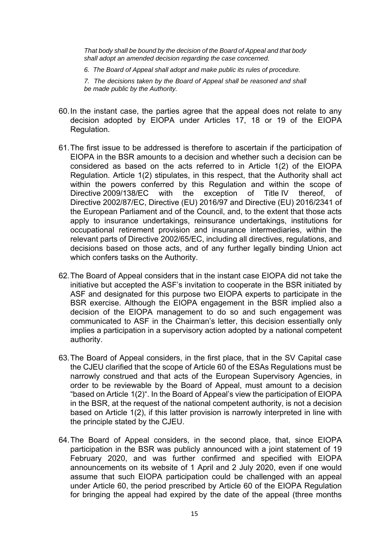*That body shall be bound by the decision of the Board of Appeal and that body shall adopt an amended decision regarding the case concerned.* 

*6. The Board of Appeal shall adopt and make public its rules of procedure.* 

*7. The decisions taken by the Board of Appeal shall be reasoned and shall be made public by the Authority.* 

- 60. In the instant case, the parties agree that the appeal does not relate to any decision adopted by EIOPA under Articles 17, 18 or 19 of the EIOPA Regulation.
- 61. The first issue to be addressed is therefore to ascertain if the participation of EIOPA in the BSR amounts to a decision and whether such a decision can be considered as based on the acts referred to in Article 1(2) of the EIOPA Regulation. Article 1(2) stipulates, in this respect, that the Authority shall act within the powers conferred by this Regulation and within the scope of Directive 2009/138/EC with the exception of Title IV thereof, of Directive 2002/87/EC, Directive (EU) 2016/97 and Directive (EU) 2016/2341 of the European Parliament and of the Council, and, to the extent that those acts apply to insurance undertakings, reinsurance undertakings, institutions for occupational retirement provision and insurance intermediaries, within the relevant parts of Directive 2002/65/EC, including all directives, regulations, and decisions based on those acts, and of any further legally binding Union act which confers tasks on the Authority.
- 62. The Board of Appeal considers that in the instant case EIOPA did not take the initiative but accepted the ASF's invitation to cooperate in the BSR initiated by ASF and designated for this purpose two EIOPA experts to participate in the BSR exercise. Although the EIOPA engagement in the BSR implied also a decision of the EIOPA management to do so and such engagement was communicated to ASF in the Chairman's letter, this decision essentially only implies a participation in a supervisory action adopted by a national competent authority.
- 63. The Board of Appeal considers, in the first place, that in the SV Capital case the CJEU clarified that the scope of Article 60 of the ESAs Regulations must be narrowly construed and that acts of the European Supervisory Agencies, in order to be reviewable by the Board of Appeal, must amount to a decision "based on Article 1(2)". In the Board of Appeal's view the participation of EIOPA in the BSR, at the request of the national competent authority, is not a decision based on Article 1(2), if this latter provision is narrowly interpreted in line with the principle stated by the CJEU.
- 64. The Board of Appeal considers, in the second place, that, since EIOPA participation in the BSR was publicly announced with a joint statement of 19 February 2020, and was further confirmed and specified with EIOPA announcements on its website of 1 April and 2 July 2020, even if one would assume that such EIOPA participation could be challenged with an appeal under Article 60, the period prescribed by Article 60 of the EIOPA Regulation for bringing the appeal had expired by the date of the appeal (three months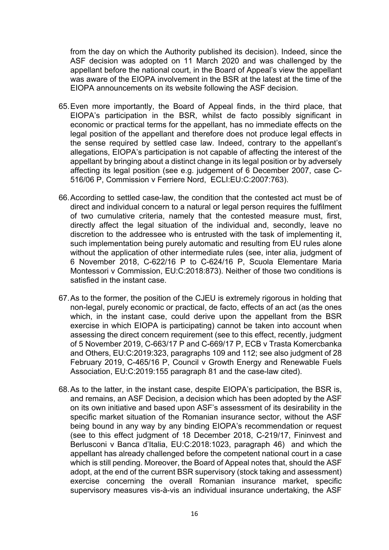from the day on which the Authority published its decision). Indeed, since the ASF decision was adopted on 11 March 2020 and was challenged by the appellant before the national court, in the Board of Appeal's view the appellant was aware of the EIOPA involvement in the BSR at the latest at the time of the EIOPA announcements on its website following the ASF decision.

- 65. Even more importantly, the Board of Appeal finds, in the third place, that EIOPA's participation in the BSR, whilst de facto possibly significant in economic or practical terms for the appellant, has no immediate effects on the legal position of the appellant and therefore does not produce legal effects in the sense required by settled case law. Indeed, contrary to the appellant's allegations, EIOPA's participation is not capable of affecting the interest of the appellant by bringing about a distinct change in its legal position or by adversely affecting its legal position (see e.g. judgement of 6 December 2007, case C-516/06 P, Commission v Ferriere Nord, ECLI:EU:C:2007:763).
- 66. According to settled case-law, the condition that the contested act must be of direct and individual concern to a natural or legal person requires the fulfilment of two cumulative criteria, namely that the contested measure must, first, directly affect the legal situation of the individual and, secondly, leave no discretion to the addressee who is entrusted with the task of implementing it, such implementation being purely automatic and resulting from EU rules alone without the application of other intermediate rules (see, inter alia, judgment of 6 November 2018, C-622/16 P to C-624/16 P, Scuola Elementare Maria Montessori v Commission, EU:C:2018:873). Neither of those two conditions is satisfied in the instant case.
- 67. As to the former, the position of the CJEU is extremely rigorous in holding that non-legal, purely economic or practical, de facto, effects of an act (as the ones which, in the instant case, could derive upon the appellant from the BSR exercise in which EIOPA is participating) cannot be taken into account when assessing the direct concern requirement (see to this effect, recently, judgment of 5 November 2019, C-663/17 P and C-669/17 P, ECB v Trasta Komercbanka and Others, EU:C:2019:323, paragraphs 109 and 112; see also judgment of 28 February 2019, C-465/16 P, Council v Growth Energy and Renewable Fuels Association, EU:C:2019:155 paragraph 81 and the case-law cited).
- 68. As to the latter, in the instant case, despite EIOPA's participation, the BSR is, and remains, an ASF Decision, a decision which has been adopted by the ASF on its own initiative and based upon ASF's assessment of its desirability in the specific market situation of the Romanian insurance sector, without the ASF being bound in any way by any binding EIOPA's recommendation or request (see to this effect judgment of 18 December 2018, C-219/17, Fininvest and Berlusconi v Banca d'Italia, EU:C:2018:1023, paragraph 46) and which the appellant has already challenged before the competent national court in a case which is still pending. Moreover, the Board of Appeal notes that, should the ASF adopt, at the end of the current BSR supervisory (stock taking and assessment) exercise concerning the overall Romanian insurance market, specific supervisory measures vis-à-vis an individual insurance undertaking, the ASF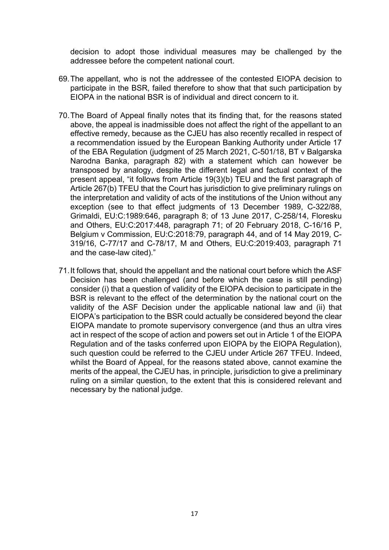decision to adopt those individual measures may be challenged by the addressee before the competent national court.

- 69. The appellant, who is not the addressee of the contested EIOPA decision to participate in the BSR, failed therefore to show that that such participation by EIOPA in the national BSR is of individual and direct concern to it.
- 70. The Board of Appeal finally notes that its finding that, for the reasons stated above, the appeal is inadmissible does not affect the right of the appellant to an effective remedy, because as the CJEU has also recently recalled in respect of a recommendation issued by the European Banking Authority under Article 17 of the EBA Regulation (judgment of 25 March 2021, C-501/18, BT v Balgarska Narodna Banka, paragraph 82) with a statement which can however be transposed by analogy, despite the different legal and factual context of the present appeal, "it follows from Article 19(3)(b) TEU and the first paragraph of Article 267(b) TFEU that the Court has jurisdiction to give preliminary rulings on the interpretation and validity of acts of the institutions of the Union without any exception (see to that effect judgments of 13 December 1989, C-322/88, Grimaldi, EU:C:1989:646, paragraph 8; of 13 June 2017, C-258/14, Floresku and Others, EU:C:2017:448, paragraph 71; of 20 February 2018, C-16/16 P, Belgium v Commission, EU:C:2018:79, paragraph 44, and of 14 May 2019, C-319/16, C-77/17 and C-78/17, M and Others, EU:C:2019:403, paragraph 71 and the case-law cited)."
- 71. It follows that, should the appellant and the national court before which the ASF Decision has been challenged (and before which the case is still pending) consider (i) that a question of validity of the EIOPA decision to participate in the BSR is relevant to the effect of the determination by the national court on the validity of the ASF Decision under the applicable national law and (ii) that EIOPA's participation to the BSR could actually be considered beyond the clear EIOPA mandate to promote supervisory convergence (and thus an ultra vires act in respect of the scope of action and powers set out in Article 1 of the EIOPA Regulation and of the tasks conferred upon EIOPA by the EIOPA Regulation), such question could be referred to the CJEU under Article 267 TFEU. Indeed, whilst the Board of Appeal, for the reasons stated above, cannot examine the merits of the appeal, the CJEU has, in principle, jurisdiction to give a preliminary ruling on a similar question, to the extent that this is considered relevant and necessary by the national judge.